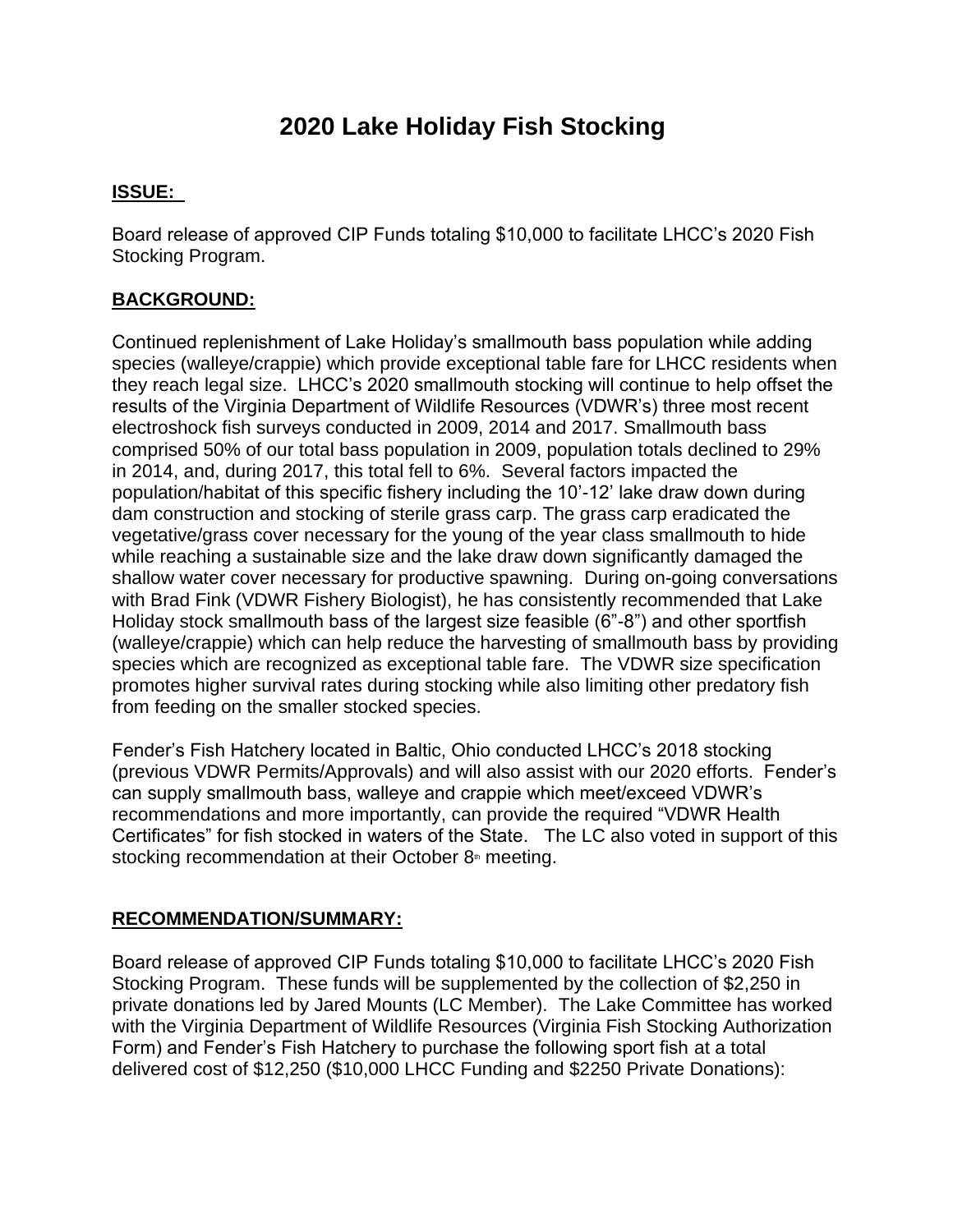# **2020 Lake Holiday Fish Stocking**

## **ISSUE:**

Board release of approved CIP Funds totaling \$10,000 to facilitate LHCC's 2020 Fish Stocking Program.

## **BACKGROUND:**

Continued replenishment of Lake Holiday's smallmouth bass population while adding species (walleye/crappie) which provide exceptional table fare for LHCC residents when they reach legal size. LHCC's 2020 smallmouth stocking will continue to help offset the results of the Virginia Department of Wildlife Resources (VDWR's) three most recent electroshock fish surveys conducted in 2009, 2014 and 2017. Smallmouth bass comprised 50% of our total bass population in 2009, population totals declined to 29% in 2014, and, during 2017, this total fell to 6%. Several factors impacted the population/habitat of this specific fishery including the 10'-12' lake draw down during dam construction and stocking of sterile grass carp. The grass carp eradicated the vegetative/grass cover necessary for the young of the year class smallmouth to hide while reaching a sustainable size and the lake draw down significantly damaged the shallow water cover necessary for productive spawning. During on-going conversations with Brad Fink (VDWR Fishery Biologist), he has consistently recommended that Lake Holiday stock smallmouth bass of the largest size feasible (6"-8") and other sportfish (walleye/crappie) which can help reduce the harvesting of smallmouth bass by providing species which are recognized as exceptional table fare. The VDWR size specification promotes higher survival rates during stocking while also limiting other predatory fish from feeding on the smaller stocked species.

Fender's Fish Hatchery located in Baltic, Ohio conducted LHCC's 2018 stocking (previous VDWR Permits/Approvals) and will also assist with our 2020 efforts. Fender's can supply smallmouth bass, walleye and crappie which meet/exceed VDWR's recommendations and more importantly, can provide the required "VDWR Health Certificates" for fish stocked in waters of the State. The LC also voted in support of this stocking recommendation at their October 8<sup>th</sup> meeting.

### **RECOMMENDATION/SUMMARY:**

Board release of approved CIP Funds totaling \$10,000 to facilitate LHCC's 2020 Fish Stocking Program. These funds will be supplemented by the collection of \$2,250 in private donations led by Jared Mounts (LC Member). The Lake Committee has worked with the Virginia Department of Wildlife Resources (Virginia Fish Stocking Authorization Form) and Fender's Fish Hatchery to purchase the following sport fish at a total delivered cost of \$12,250 (\$10,000 LHCC Funding and \$2250 Private Donations):